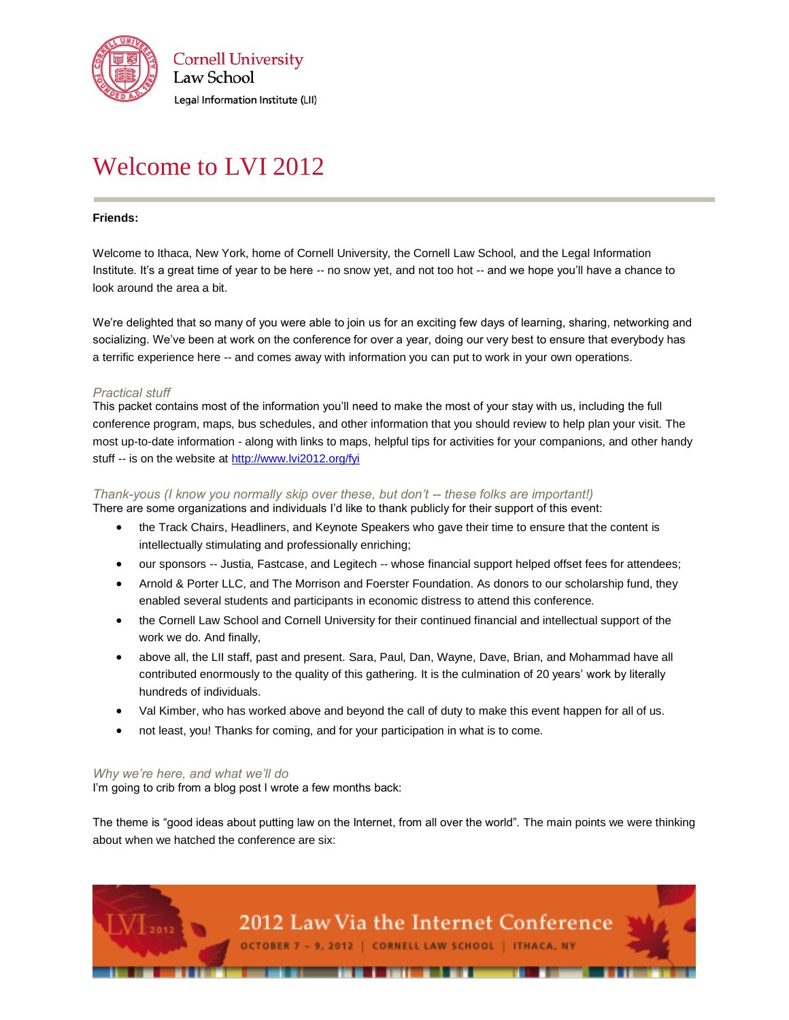

# Welcome to LVI 2012

## **Friends:**

Welcome to Ithaca, New York, home of Cornell University, the Cornell Law School, and the Legal Information Institute. It's a great time of year to be here -- no snow yet, and not too hot -- and we hope you'll have a chance to look around the area a bit.

We're delighted that so many of you were able to join us for an exciting few days of learning, sharing, networking and socializing. We've been at work on the conference for over a year, doing our very best to ensure that everybody has a terrific experience here -- and comes away with information you can put to work in your own operations.

## *Practical stuff*

This packet contains most of the information you'll need to make the most of your stay with us, including the full conference program, maps, bus schedules, and other information that you should review to help plan your visit. The most up-to-date information - along with links to maps, helpful tips for activities for your companions, and other handy stuff -- is on the website a[t http://www.lvi2012.org/fyi](http://www.lvi2012.org/fyi)

## *Thank-yous (I know you normally skip over these, but don't -- these folks are important!)*

There are some organizations and individuals I'd like to thank publicly for their support of this event:

- the Track Chairs, Headliners, and Keynote Speakers who gave their time to ensure that the content is intellectually stimulating and professionally enriching;
- our sponsors -- Justia, Fastcase, and Legitech -- whose financial support helped offset fees for attendees;
- Arnold & Porter LLC, and The Morrison and Foerster Foundation. As donors to our scholarship fund, they enabled several students and participants in economic distress to attend this conference.
- the Cornell Law School and Cornell University for their continued financial and intellectual support of the work we do. And finally,
- above all, the LII staff, past and present. Sara, Paul, Dan, Wayne, Dave, Brian, and Mohammad have all contributed enormously to the quality of this gathering. It is the culmination of 20 years' work by literally hundreds of individuals.
- Val Kimber, who has worked above and beyond the call of duty to make this event happen for all of us.
- not least, you! Thanks for coming, and for your participation in what is to come.

#### *Why we're here, and what we'll do*

I'm going to crib from a blog post I wrote a few months back:

The theme is "good ideas about putting law on the Internet, from all over the world". The main points we were thinking about when we hatched the conference are six: